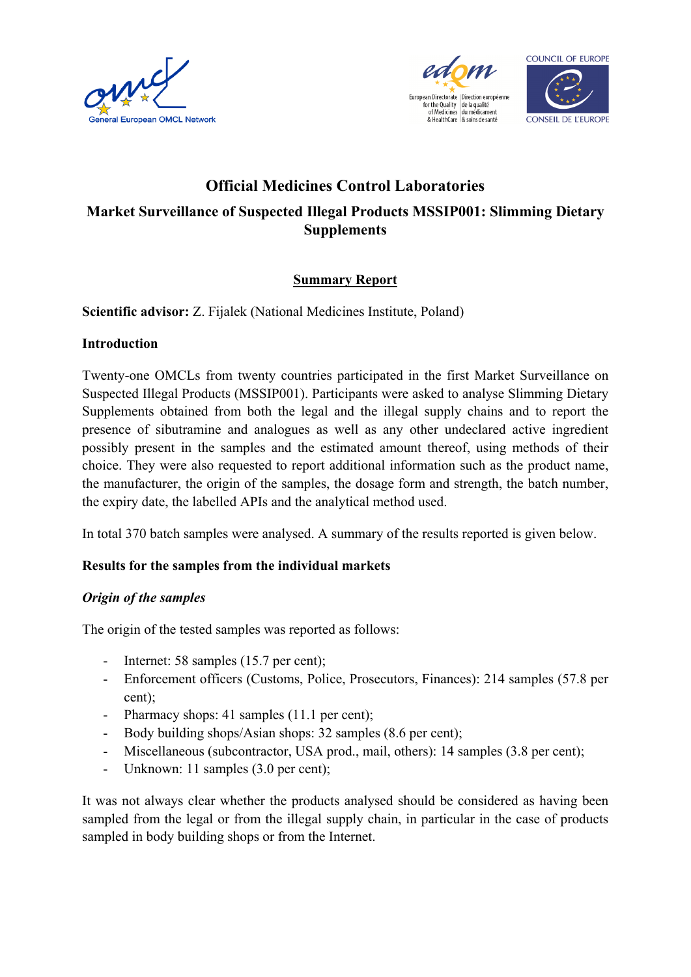





# **Official Medicines Control Laboratories Market Surveillance of Suspected Illegal Products MSSIP001: Slimming Dietary Supplements**

## **Summary Report**

**Scientific advisor:** Z. Fijalek (National Medicines Institute, Poland)

#### **Introduction**

Twenty-one OMCLs from twenty countries participated in the first Market Surveillance on Suspected Illegal Products (MSSIP001). Participants were asked to analyse Slimming Dietary Supplements obtained from both the legal and the illegal supply chains and to report the presence of sibutramine and analogues as well as any other undeclared active ingredient possibly present in the samples and the estimated amount thereof, using methods of their choice. They were also requested to report additional information such as the product name, the manufacturer, the origin of the samples, the dosage form and strength, the batch number, the expiry date, the labelled APIs and the analytical method used.

In total 370 batch samples were analysed. A summary of the results reported is given below.

## **Results for the samples from the individual markets**

#### *Origin of the samples*

The origin of the tested samples was reported as follows:

- Internet: 58 samples (15.7 per cent);
- Enforcement officers (Customs, Police, Prosecutors, Finances): 214 samples (57.8 per cent);
- Pharmacy shops: 41 samples (11.1 per cent);
- Body building shops/Asian shops: 32 samples (8.6 per cent);
- Miscellaneous (subcontractor, USA prod., mail, others): 14 samples (3.8 per cent);
- Unknown: 11 samples (3.0 per cent);

It was not always clear whether the products analysed should be considered as having been sampled from the legal or from the illegal supply chain, in particular in the case of products sampled in body building shops or from the Internet.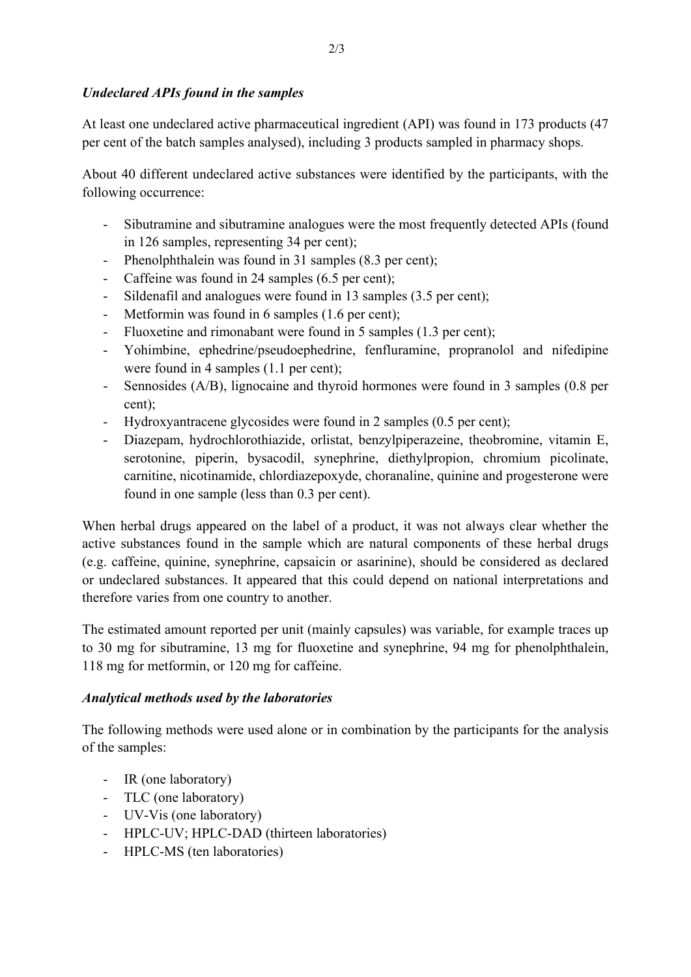### *Undeclared APIs found in the samples*

At least one undeclared active pharmaceutical ingredient (API) was found in 173 products (47 per cent of the batch samples analysed), including 3 products sampled in pharmacy shops.

About 40 different undeclared active substances were identified by the participants, with the following occurrence:

- Sibutramine and sibutramine analogues were the most frequently detected APIs (found in 126 samples, representing 34 per cent);
- Phenolphthalein was found in 31 samples (8.3 per cent);
- Caffeine was found in 24 samples (6.5 per cent);
- Sildenafil and analogues were found in 13 samples (3.5 per cent);
- Metformin was found in 6 samples (1.6 per cent);
- Fluoxetine and rimonabant were found in 5 samples (1.3 per cent);
- Yohimbine, ephedrine/pseudoephedrine, fenfluramine, propranolol and nifedipine were found in 4 samples (1.1 per cent);
- Sennosides (A/B), lignocaine and thyroid hormones were found in 3 samples (0.8 per cent);
- Hydroxyantracene glycosides were found in 2 samples (0.5 per cent);
- Diazepam, hydrochlorothiazide, orlistat, benzylpiperazeine, theobromine, vitamin E, serotonine, piperin, bysacodil, synephrine, diethylpropion, chromium picolinate, carnitine, nicotinamide, chlordiazepoxyde, choranaline, quinine and progesterone were found in one sample (less than 0.3 per cent).

When herbal drugs appeared on the label of a product, it was not always clear whether the active substances found in the sample which are natural components of these herbal drugs (e.g. caffeine, quinine, synephrine, capsaicin or asarinine), should be considered as declared or undeclared substances. It appeared that this could depend on national interpretations and therefore varies from one country to another.

The estimated amount reported per unit (mainly capsules) was variable, for example traces up to 30 mg for sibutramine, 13 mg for fluoxetine and synephrine, 94 mg for phenolphthalein, 118 mg for metformin, or 120 mg for caffeine.

## *Analytical methods used by the laboratories*

The following methods were used alone or in combination by the participants for the analysis of the samples:

- IR (one laboratory)
- TLC (one laboratory)
- UV-Vis (one laboratory)
- HPLC-UV; HPLC-DAD (thirteen laboratories)
- HPLC-MS (ten laboratories)